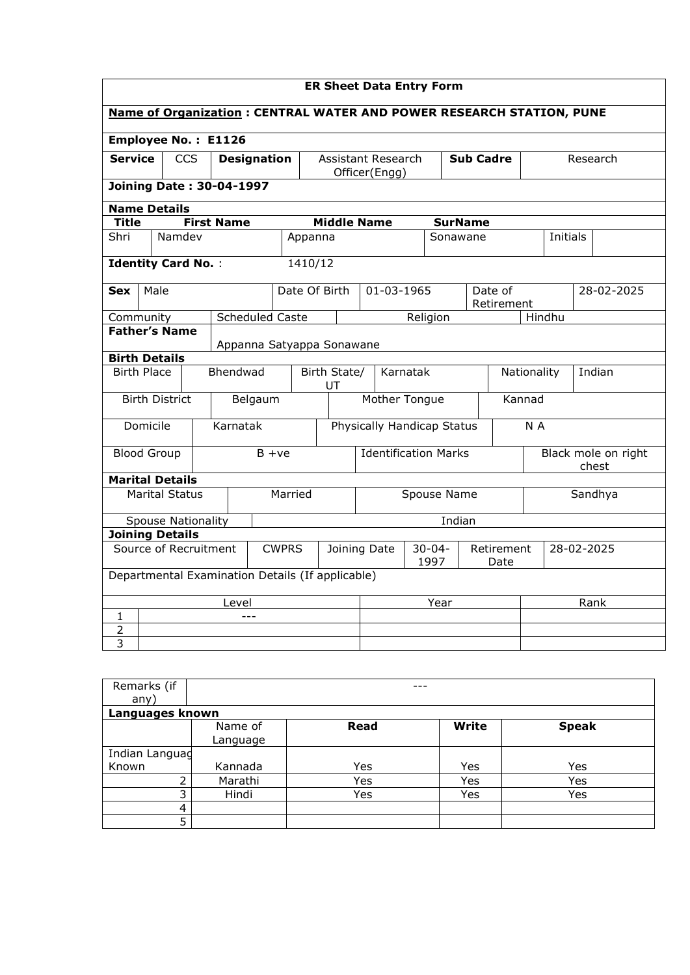| <b>ER Sheet Data Entry Form</b>                                             |                                                    |            |  |                    |                             |              |                            |                    |                     |                           |                    |                |                              |                       |     |          |  |            |
|-----------------------------------------------------------------------------|----------------------------------------------------|------------|--|--------------------|-----------------------------|--------------|----------------------------|--------------------|---------------------|---------------------------|--------------------|----------------|------------------------------|-----------------------|-----|----------|--|------------|
| <b>Name of Organization: CENTRAL WATER AND POWER RESEARCH STATION, PUNE</b> |                                                    |            |  |                    |                             |              |                            |                    |                     |                           |                    |                |                              |                       |     |          |  |            |
|                                                                             | Employee No.: E1126                                |            |  |                    |                             |              |                            |                    |                     |                           |                    |                |                              |                       |     |          |  |            |
| <b>Service</b>                                                              |                                                    | <b>CCS</b> |  | <b>Designation</b> |                             |              |                            |                    |                     | <b>Assistant Research</b> |                    |                | <b>Sub Cadre</b>             |                       |     | Research |  |            |
| Officer(Engg)<br><b>Joining Date: 30-04-1997</b>                            |                                                    |            |  |                    |                             |              |                            |                    |                     |                           |                    |                |                              |                       |     |          |  |            |
|                                                                             | <b>Name Details</b>                                |            |  |                    |                             |              |                            |                    |                     |                           |                    |                |                              |                       |     |          |  |            |
| <b>Title</b>                                                                |                                                    |            |  | <b>First Name</b>  |                             |              |                            | <b>Middle Name</b> |                     |                           |                    | <b>SurName</b> |                              |                       |     |          |  |            |
| Shri                                                                        |                                                    | Namdev     |  |                    |                             |              | Appanna                    |                    |                     |                           |                    | Sonawane       |                              |                       |     | Initials |  |            |
| <b>Identity Card No.:</b>                                                   |                                                    |            |  |                    |                             |              | 1410/12                    |                    |                     |                           |                    |                |                              |                       |     |          |  |            |
| Sex                                                                         | Male                                               |            |  |                    |                             |              | Date Of Birth              |                    |                     | 01-03-1965                |                    |                |                              | Date of<br>Retirement |     |          |  | 28-02-2025 |
|                                                                             | Hindhu<br>Scheduled Caste<br>Religion<br>Community |            |  |                    |                             |              |                            |                    |                     |                           |                    |                |                              |                       |     |          |  |            |
|                                                                             | <b>Father's Name</b><br>Appanna Satyappa Sonawane  |            |  |                    |                             |              |                            |                    |                     |                           |                    |                |                              |                       |     |          |  |            |
|                                                                             | <b>Birth Details</b>                               |            |  |                    |                             |              |                            |                    |                     |                           |                    |                |                              |                       |     |          |  |            |
|                                                                             | <b>Birth Place</b><br>Bhendwad                     |            |  |                    | Birth State/<br>UT          |              |                            |                    | Karnatak            |                           |                    |                | Nationality                  |                       |     | Indian   |  |            |
|                                                                             | <b>Birth District</b>                              |            |  |                    | Belgaum                     |              | Mother Tongue              |                    |                     |                           | Kannad             |                |                              |                       |     |          |  |            |
|                                                                             | Domicile                                           |            |  | Karnatak           |                             |              | Physically Handicap Status |                    |                     |                           |                    |                |                              |                       | N A |          |  |            |
|                                                                             | <b>Blood Group</b><br>$B + ve$                     |            |  |                    | <b>Identification Marks</b> |              |                            |                    |                     |                           |                    |                | Black mole on right<br>chest |                       |     |          |  |            |
|                                                                             | <b>Marital Details</b>                             |            |  |                    |                             |              |                            |                    |                     |                           |                    |                |                              |                       |     |          |  |            |
| <b>Marital Status</b><br>Married                                            |                                                    |            |  |                    |                             |              |                            | Spouse Name        |                     |                           |                    |                |                              | Sandhya               |     |          |  |            |
|                                                                             | <b>Spouse Nationality</b>                          |            |  |                    |                             |              |                            |                    |                     |                           |                    | Indian         |                              |                       |     |          |  |            |
|                                                                             | <b>Joining Details</b>                             |            |  |                    |                             |              |                            |                    |                     |                           |                    |                |                              |                       |     |          |  |            |
| Source of Recruitment<br><b>CWPRS</b><br>Joining Date                       |                                                    |            |  |                    |                             |              |                            |                    | $30 - 04 -$<br>1997 |                           | Retirement<br>Date |                | 28-02-2025                   |                       |     |          |  |            |
|                                                                             | Departmental Examination Details (If applicable)   |            |  |                    |                             |              |                            |                    |                     |                           |                    |                |                              |                       |     |          |  |            |
| Level                                                                       |                                                    |            |  |                    |                             | Year<br>Rank |                            |                    |                     |                           |                    |                |                              |                       |     |          |  |            |
| $\mathbf{1}$                                                                |                                                    |            |  |                    |                             |              |                            |                    |                     |                           |                    |                |                              |                       |     |          |  |            |
| $\overline{2}$                                                              |                                                    |            |  |                    |                             |              |                            |                    |                     |                           |                    |                |                              |                       |     |          |  |            |
| 3                                                                           |                                                    |            |  |                    |                             |              |                            |                    |                     |                           |                    |                |                              |                       |     |          |  |            |

| Remarks (if     |          |      | ---   |              |  |  |  |  |  |
|-----------------|----------|------|-------|--------------|--|--|--|--|--|
| any)            |          |      |       |              |  |  |  |  |  |
| Languages known |          |      |       |              |  |  |  |  |  |
|                 | Name of  | Read | Write | <b>Speak</b> |  |  |  |  |  |
|                 | Language |      |       |              |  |  |  |  |  |
| Indian Languag  |          |      |       |              |  |  |  |  |  |
| Known           | Kannada  | Yes  | Yes   | Yes          |  |  |  |  |  |
| C.              | Marathi  | Yes  | Yes   | Yes          |  |  |  |  |  |
| $\mathbf{r}$    | Hindi    | Yes  | Yes   | Yes          |  |  |  |  |  |
| 4               |          |      |       |              |  |  |  |  |  |
| 5               |          |      |       |              |  |  |  |  |  |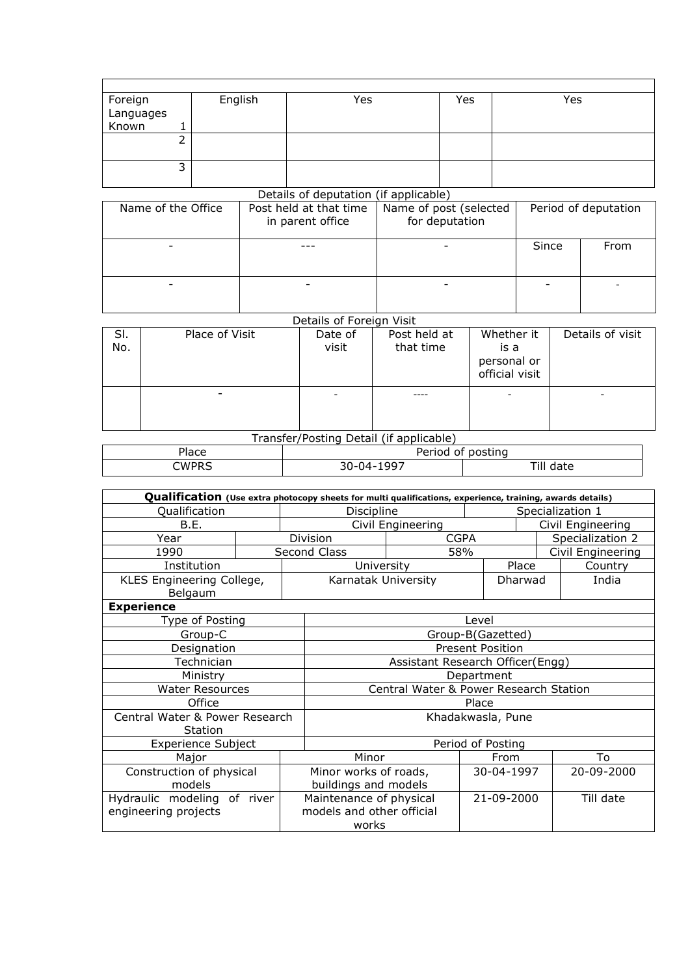|                               |   | English | Yes | Yes | Yes |
|-------------------------------|---|---------|-----|-----|-----|
|                               |   |         |     |     |     |
| Foreign<br>Languages<br>Known |   |         |     |     |     |
|                               |   |         |     |     |     |
|                               |   |         |     |     |     |
|                               | ∽ |         |     |     |     |
|                               |   |         |     |     |     |

## Details of deputation (if applicable)

| Name of the Office | Post held at that time<br>in parent office | Name of post (selected<br>for deputation |       | Period of deputation |
|--------------------|--------------------------------------------|------------------------------------------|-------|----------------------|
|                    |                                            |                                          | Since | <b>From</b>          |
|                    |                                            |                                          |       |                      |

## Details of Foreign Visit

| SI.<br>No. | Place of Visit | Date of<br>visit | Post held at<br>that time | Whether it<br>is a<br>personal or<br>official visit | Details of visit |
|------------|----------------|------------------|---------------------------|-----------------------------------------------------|------------------|
|            |                |                  |                           |                                                     |                  |

## Transfer/Posting Detail (if applicable)

| -<br>idCe          | posting<br>ΩŤ<br>טו י<br>∼<br>___ |          |  |  |  |  |
|--------------------|-----------------------------------|----------|--|--|--|--|
| ≘WPk<br><br>$\sim$ | , ,<br>۱۰۰۰ - ۱۱۵- ن د<br>uu      | Ή<br>ינג |  |  |  |  |

| Qualification (Use extra photocopy sheets for multi qualifications, experience, training, awards details) |  |                                        |                   |                  |         |                   |  |  |  |
|-----------------------------------------------------------------------------------------------------------|--|----------------------------------------|-------------------|------------------|---------|-------------------|--|--|--|
| Qualification                                                                                             |  | Discipline                             |                   | Specialization 1 |         |                   |  |  |  |
| B.E.                                                                                                      |  |                                        | Civil Engineering |                  |         | Civil Engineering |  |  |  |
| Year                                                                                                      |  | Division                               | <b>CGPA</b>       |                  |         | Specialization 2  |  |  |  |
| 1990                                                                                                      |  | Second Class                           | 58%               |                  |         | Civil Engineering |  |  |  |
| Institution                                                                                               |  | University                             |                   |                  | Place   | Country           |  |  |  |
| KLES Engineering College,<br>Belgaum                                                                      |  | Karnatak University                    |                   |                  | Dharwad | India             |  |  |  |
| <b>Experience</b>                                                                                         |  |                                        |                   |                  |         |                   |  |  |  |
| Type of Posting                                                                                           |  |                                        |                   | Level            |         |                   |  |  |  |
| Group-C                                                                                                   |  |                                        | Group-B(Gazetted) |                  |         |                   |  |  |  |
| Designation                                                                                               |  | <b>Present Position</b>                |                   |                  |         |                   |  |  |  |
| Technician                                                                                                |  | Assistant Research Officer(Engg)       |                   |                  |         |                   |  |  |  |
| Ministry                                                                                                  |  | Department                             |                   |                  |         |                   |  |  |  |
| <b>Water Resources</b>                                                                                    |  | Central Water & Power Research Station |                   |                  |         |                   |  |  |  |
| Office                                                                                                    |  | Place                                  |                   |                  |         |                   |  |  |  |
| Central Water & Power Research<br>Station                                                                 |  |                                        | Khadakwasla, Pune |                  |         |                   |  |  |  |
| <b>Experience Subject</b>                                                                                 |  |                                        | Period of Posting |                  |         |                   |  |  |  |
| Major                                                                                                     |  | Minor                                  |                   | From             |         | To                |  |  |  |
| Construction of physical                                                                                  |  | Minor works of roads,                  |                   | 30-04-1997       |         | 20-09-2000        |  |  |  |
| models                                                                                                    |  | buildings and models                   |                   |                  |         |                   |  |  |  |
| Hydraulic modeling of river                                                                               |  | Maintenance of physical                |                   | 21-09-2000       |         | Till date         |  |  |  |
| engineering projects                                                                                      |  | models and other official<br>works     |                   |                  |         |                   |  |  |  |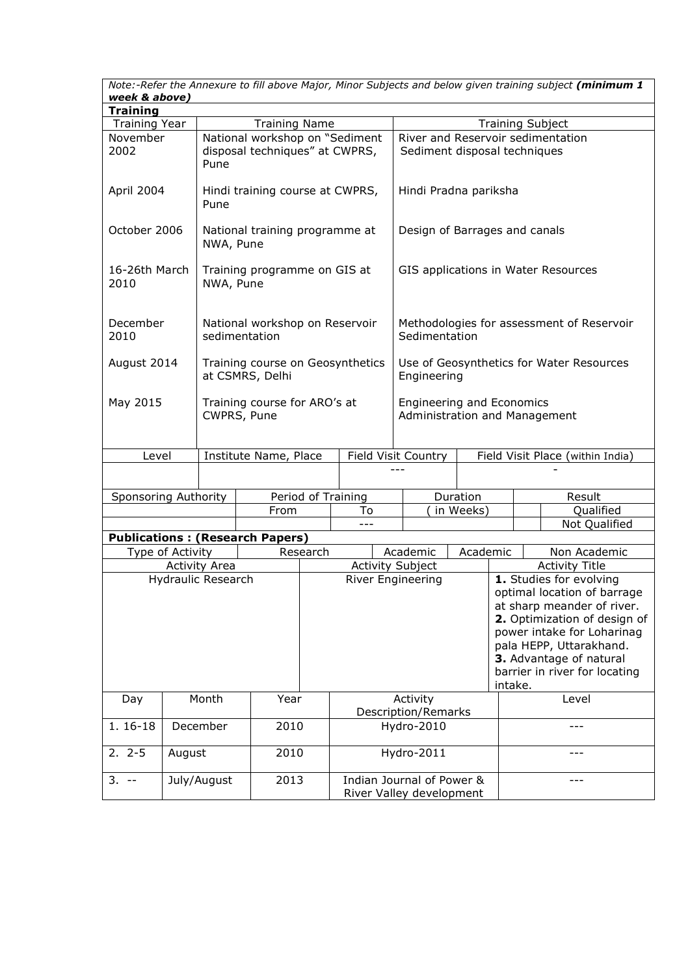*Note:-Refer the Annexure to fill above Major, Minor Subjects and below given training subject (minimum 1 week & above)*

| <b>Training</b><br><b>Training Year</b><br><b>Training Name</b><br><b>Training Subject</b> |                                |                                             |                                                     |                                                       |                              |  |                                                            |  |                                          |  |  |                                                                                                                                                                                                          |
|--------------------------------------------------------------------------------------------|--------------------------------|---------------------------------------------|-----------------------------------------------------|-------------------------------------------------------|------------------------------|--|------------------------------------------------------------|--|------------------------------------------|--|--|----------------------------------------------------------------------------------------------------------------------------------------------------------------------------------------------------------|
| November                                                                                   |                                |                                             | National workshop on "Sediment                      |                                                       |                              |  | River and Reservoir sedimentation                          |  |                                          |  |  |                                                                                                                                                                                                          |
| 2002                                                                                       | disposal techniques" at CWPRS, |                                             |                                                     |                                                       | Sediment disposal techniques |  |                                                            |  |                                          |  |  |                                                                                                                                                                                                          |
| April 2004                                                                                 |                                | Pune                                        | Hindi training course at CWPRS,                     |                                                       |                              |  | Hindi Pradna pariksha                                      |  |                                          |  |  |                                                                                                                                                                                                          |
| October 2006                                                                               |                                | NWA, Pune                                   | National training programme at                      |                                                       |                              |  | Design of Barrages and canals                              |  |                                          |  |  |                                                                                                                                                                                                          |
| 16-26th March<br>2010                                                                      |                                | NWA, Pune                                   | Training programme on GIS at                        |                                                       |                              |  |                                                            |  |                                          |  |  | GIS applications in Water Resources                                                                                                                                                                      |
| December<br>2010                                                                           |                                |                                             | National workshop on Reservoir<br>sedimentation     |                                                       |                              |  | Sedimentation                                              |  |                                          |  |  | Methodologies for assessment of Reservoir                                                                                                                                                                |
| August 2014                                                                                |                                |                                             | Training course on Geosynthetics<br>at CSMRS, Delhi |                                                       |                              |  | Use of Geosynthetics for Water Resources<br>Engineering    |  |                                          |  |  |                                                                                                                                                                                                          |
| May 2015                                                                                   |                                | Training course for ARO's at<br>CWPRS, Pune |                                                     |                                                       |                              |  | Engineering and Economics<br>Administration and Management |  |                                          |  |  |                                                                                                                                                                                                          |
| Level                                                                                      |                                |                                             |                                                     | Institute Name, Place<br>Field Visit Country          |                              |  |                                                            |  |                                          |  |  | Field Visit Place (within India)                                                                                                                                                                         |
|                                                                                            |                                |                                             |                                                     |                                                       |                              |  |                                                            |  |                                          |  |  |                                                                                                                                                                                                          |
| Sponsoring Authority                                                                       |                                |                                             |                                                     |                                                       | Period of Training           |  |                                                            |  | Duration                                 |  |  | Result                                                                                                                                                                                                   |
|                                                                                            |                                |                                             | From                                                |                                                       | To                           |  |                                                            |  | in Weeks)                                |  |  | Qualified                                                                                                                                                                                                |
|                                                                                            |                                |                                             |                                                     |                                                       |                              |  |                                                            |  |                                          |  |  | Not Qualified                                                                                                                                                                                            |
|                                                                                            |                                |                                             | <b>Publications: (Research Papers)</b>              |                                                       |                              |  |                                                            |  |                                          |  |  |                                                                                                                                                                                                          |
| Type of Activity                                                                           |                                |                                             |                                                     | Research                                              |                              |  | Academic                                                   |  | Academic                                 |  |  | Non Academic                                                                                                                                                                                             |
|                                                                                            |                                | <b>Activity Area</b>                        |                                                     |                                                       |                              |  | <b>Activity Subject</b>                                    |  |                                          |  |  | <b>Activity Title</b>                                                                                                                                                                                    |
| <b>Hydraulic Research</b>                                                                  |                                |                                             |                                                     |                                                       |                              |  | River Engineering                                          |  |                                          |  |  | 1. Studies for evolving<br>optimal location of barrage<br>at sharp meander of river.<br>2. Optimization of design of<br>power intake for Loharinag<br>pala HEPP, Uttarakhand.<br>3. Advantage of natural |
|                                                                                            |                                |                                             |                                                     |                                                       |                              |  |                                                            |  | barrier in river for locating<br>intake. |  |  |                                                                                                                                                                                                          |
| Month<br>Day                                                                               |                                |                                             | Year                                                |                                                       |                              |  | Activity<br><b>Description/Remarks</b>                     |  |                                          |  |  | Level                                                                                                                                                                                                    |
| 1. 16-18                                                                                   |                                | December                                    | 2010                                                |                                                       |                              |  | Hydro-2010                                                 |  |                                          |  |  |                                                                                                                                                                                                          |
| $2.2 - 5$                                                                                  | August                         |                                             | 2010                                                |                                                       |                              |  | Hydro-2011                                                 |  |                                          |  |  | ---                                                                                                                                                                                                      |
| 2013<br>July/August<br>$3. -$                                                              |                                |                                             |                                                     | Indian Journal of Power &<br>River Valley development |                              |  |                                                            |  | ---                                      |  |  |                                                                                                                                                                                                          |